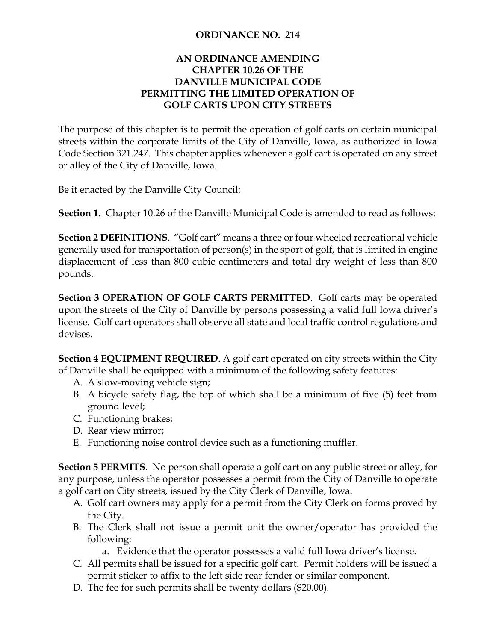## **ORDINANCE NO. 214**

## **AN ORDINANCE AMENDING CHAPTER 10.26 OF THE DANVILLE MUNICIPAL CODE PERMITTING THE LIMITED OPERATION OF GOLF CARTS UPON CITY STREETS**

The purpose of this chapter is to permit the operation of golf carts on certain municipal streets within the corporate limits of the City of Danville, Iowa, as authorized in Iowa Code Section 321.247. This chapter applies whenever a golf cart is operated on any street or alley of the City of Danville, Iowa.

Be it enacted by the Danville City Council:

**Section 1.** Chapter 10.26 of the Danville Municipal Code is amended to read as follows:

**Section 2 DEFINITIONS**. "Golf cart" means a three or four wheeled recreational vehicle generally used for transportation of person(s) in the sport of golf, that is limited in engine displacement of less than 800 cubic centimeters and total dry weight of less than 800 pounds.

**Section 3 OPERATION OF GOLF CARTS PERMITTED**. Golf carts may be operated upon the streets of the City of Danville by persons possessing a valid full Iowa driver's license. Golf cart operators shall observe all state and local traffic control regulations and devises.

**Section 4 EQUIPMENT REQUIRED**. A golf cart operated on city streets within the City of Danville shall be equipped with a minimum of the following safety features:

- A. A slow-moving vehicle sign;
- B. A bicycle safety flag, the top of which shall be a minimum of five (5) feet from ground level;
- C. Functioning brakes;
- D. Rear view mirror;
- E. Functioning noise control device such as a functioning muffler.

**Section 5 PERMITS**. No person shall operate a golf cart on any public street or alley, for any purpose, unless the operator possesses a permit from the City of Danville to operate a golf cart on City streets, issued by the City Clerk of Danville, Iowa.

- A. Golf cart owners may apply for a permit from the City Clerk on forms proved by the City.
- B. The Clerk shall not issue a permit unit the owner/operator has provided the following:
	- a. Evidence that the operator possesses a valid full Iowa driver's license.
- C. All permits shall be issued for a specific golf cart. Permit holders will be issued a permit sticker to affix to the left side rear fender or similar component.
- D. The fee for such permits shall be twenty dollars (\$20.00).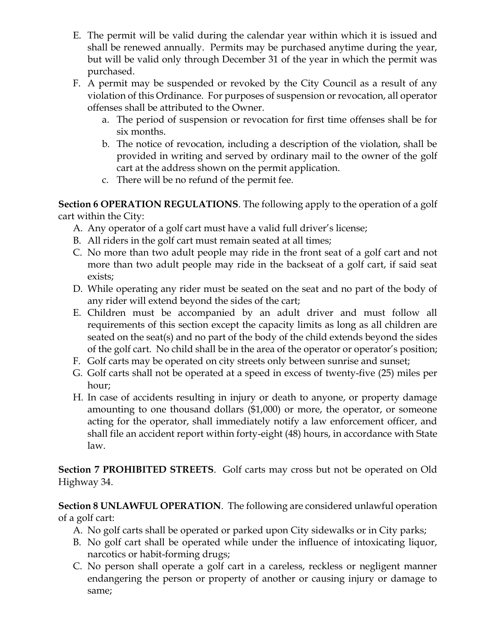- E. The permit will be valid during the calendar year within which it is issued and shall be renewed annually. Permits may be purchased anytime during the year, but will be valid only through December 31 of the year in which the permit was purchased.
- F. A permit may be suspended or revoked by the City Council as a result of any violation of this Ordinance. For purposes of suspension or revocation, all operator offenses shall be attributed to the Owner.
	- a. The period of suspension or revocation for first time offenses shall be for six months.
	- b. The notice of revocation, including a description of the violation, shall be provided in writing and served by ordinary mail to the owner of the golf cart at the address shown on the permit application.
	- c. There will be no refund of the permit fee.

**Section 6 OPERATION REGULATIONS**. The following apply to the operation of a golf cart within the City:

- A. Any operator of a golf cart must have a valid full driver's license;
- B. All riders in the golf cart must remain seated at all times;
- C. No more than two adult people may ride in the front seat of a golf cart and not more than two adult people may ride in the backseat of a golf cart, if said seat exists;
- D. While operating any rider must be seated on the seat and no part of the body of any rider will extend beyond the sides of the cart;
- E. Children must be accompanied by an adult driver and must follow all requirements of this section except the capacity limits as long as all children are seated on the seat(s) and no part of the body of the child extends beyond the sides of the golf cart. No child shall be in the area of the operator or operator's position;
- F. Golf carts may be operated on city streets only between sunrise and sunset;
- G. Golf carts shall not be operated at a speed in excess of twenty-five (25) miles per hour;
- H. In case of accidents resulting in injury or death to anyone, or property damage amounting to one thousand dollars (\$1,000) or more, the operator, or someone acting for the operator, shall immediately notify a law enforcement officer, and shall file an accident report within forty-eight (48) hours, in accordance with State law.

**Section 7 PROHIBITED STREETS**. Golf carts may cross but not be operated on Old Highway 34.

**Section 8 UNLAWFUL OPERATION**. The following are considered unlawful operation of a golf cart:

- A. No golf carts shall be operated or parked upon City sidewalks or in City parks;
- B. No golf cart shall be operated while under the influence of intoxicating liquor, narcotics or habit-forming drugs;
- C. No person shall operate a golf cart in a careless, reckless or negligent manner endangering the person or property of another or causing injury or damage to same;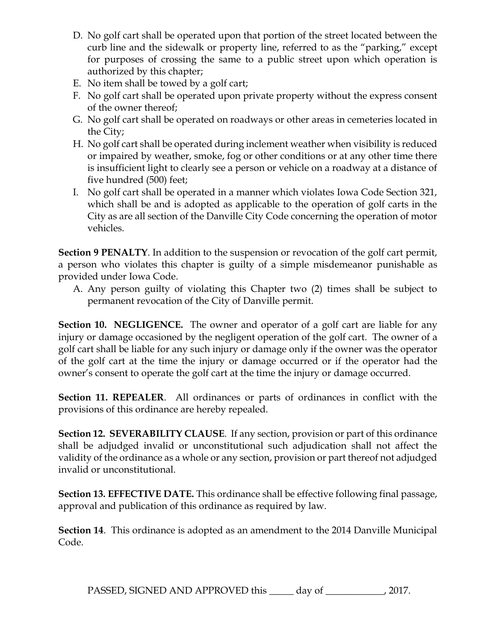- D. No golf cart shall be operated upon that portion of the street located between the curb line and the sidewalk or property line, referred to as the "parking," except for purposes of crossing the same to a public street upon which operation is authorized by this chapter;
- E. No item shall be towed by a golf cart;
- F. No golf cart shall be operated upon private property without the express consent of the owner thereof;
- G. No golf cart shall be operated on roadways or other areas in cemeteries located in the City;
- H. No golf cart shall be operated during inclement weather when visibility is reduced or impaired by weather, smoke, fog or other conditions or at any other time there is insufficient light to clearly see a person or vehicle on a roadway at a distance of five hundred (500) feet;
- I. No golf cart shall be operated in a manner which violates Iowa Code Section 321, which shall be and is adopted as applicable to the operation of golf carts in the City as are all section of the Danville City Code concerning the operation of motor vehicles.

**Section 9 PENALTY**. In addition to the suspension or revocation of the golf cart permit, a person who violates this chapter is guilty of a simple misdemeanor punishable as provided under Iowa Code.

A. Any person guilty of violating this Chapter two (2) times shall be subject to permanent revocation of the City of Danville permit.

**Section 10. NEGLIGENCE.** The owner and operator of a golf cart are liable for any injury or damage occasioned by the negligent operation of the golf cart. The owner of a golf cart shall be liable for any such injury or damage only if the owner was the operator of the golf cart at the time the injury or damage occurred or if the operator had the owner's consent to operate the golf cart at the time the injury or damage occurred.

**Section 11. REPEALER**. All ordinances or parts of ordinances in conflict with the provisions of this ordinance are hereby repealed.

**Section 12. SEVERABILITY CLAUSE**. If any section, provision or part of this ordinance shall be adjudged invalid or unconstitutional such adjudication shall not affect the validity of the ordinance as a whole or any section, provision or part thereof not adjudged invalid or unconstitutional.

**Section 13. EFFECTIVE DATE.** This ordinance shall be effective following final passage, approval and publication of this ordinance as required by law.

**Section 14**. This ordinance is adopted as an amendment to the 2014 Danville Municipal Code.

PASSED, SIGNED AND APPROVED this \_\_\_\_\_ day of \_\_\_\_\_\_\_\_\_\_\_, 2017.